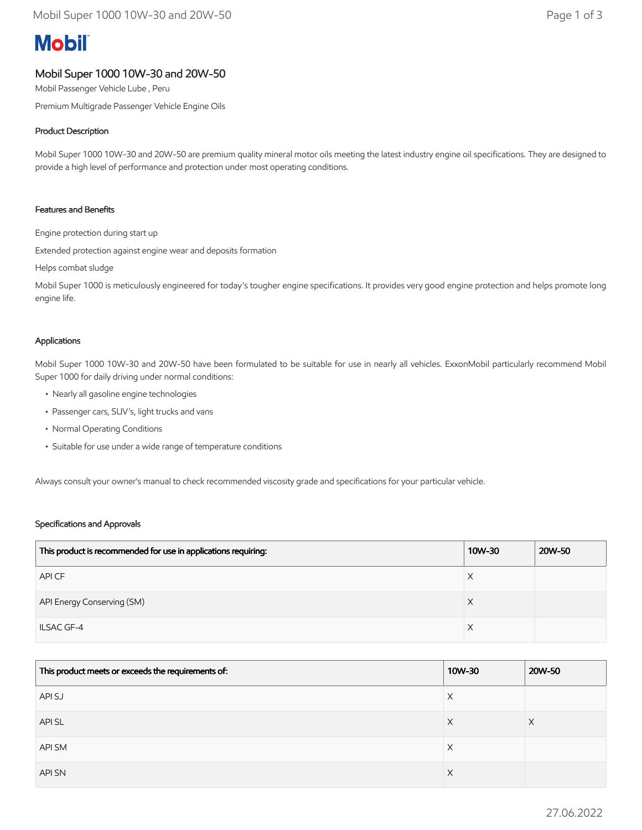# **Mobil**

# Mobil Super 1000 10W-30 and 20W-50

Mobil Passenger Vehicle Lube , Peru

Premium Multigrade Passenger Vehicle Engine Oils

## Product Description

Mobil Super 1000 10W-30 and 20W-50 are premium quality mineral motor oils meeting the latest industry engine oil specifications. They are designed to provide a high level of performance and protection under most operating conditions.

#### Features and Benefits

Engine protection during start up

Extended protection against engine wear and deposits formation

Helps combat sludge

Mobil Super 1000 is meticulously engineered for today's tougher engine specifications. It provides very good engine protection and helps promote long engine life.

#### Applications

Mobil Super 1000 10W-30 and 20W-50 have been formulated to be suitable for use in nearly all vehicles. ExxonMobil particularly recommend Mobil Super 1000 for daily driving under normal conditions:

- Nearly all gasoline engine technologies
- Passenger cars, SUV's, light trucks and vans
- Normal Operating Conditions
- Suitable for use under a wide range of temperature conditions

Always consult your owner's manual to check recommended viscosity grade and specifications for your particular vehicle.

#### Specifications and Approvals

| This product is recommended for use in applications requiring: | 10W-30 | 20W-50 |
|----------------------------------------------------------------|--------|--------|
| API CF                                                         | Χ      |        |
| API Energy Conserving (SM)                                     |        |        |
| <b>ILSAC GF-4</b>                                              | Χ      |        |

| This product meets or exceeds the requirements of: | 10W-30 | 20W-50 |
|----------------------------------------------------|--------|--------|
| API SJ                                             | Χ      |        |
| <b>APISL</b>                                       | X      | ⋏      |
| API SM                                             | X      |        |
| <b>API SN</b>                                      | X      |        |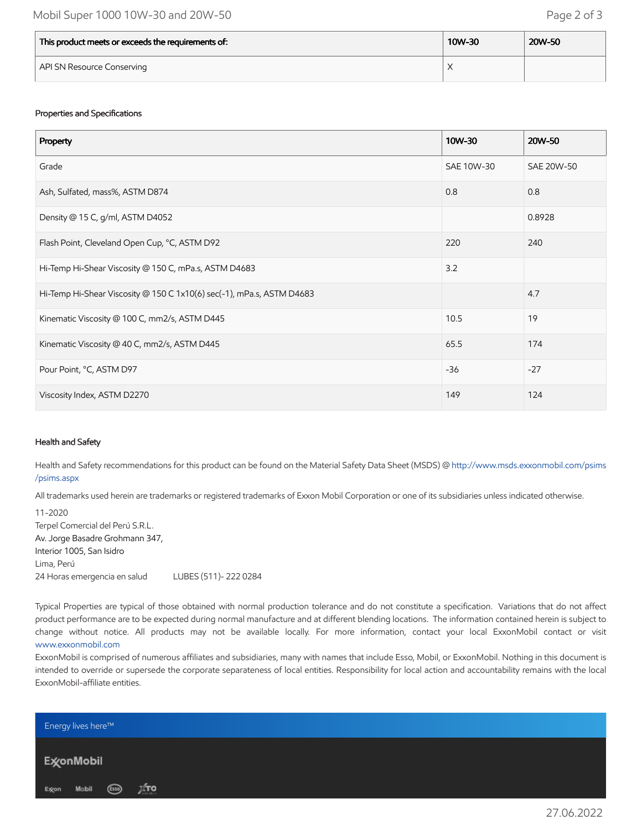| This product meets or exceeds the requirements of: | 10W-30 | 20W-50 |
|----------------------------------------------------|--------|--------|
| API SN Resource Conserving                         |        |        |

## Properties and Specifications

| Property                                                              | 10W-30     | 20W-50     |
|-----------------------------------------------------------------------|------------|------------|
| Grade                                                                 | SAE 10W-30 | SAE 20W-50 |
| Ash, Sulfated, mass%, ASTM D874                                       | 0.8        | 0.8        |
| Density @ 15 C, g/ml, ASTM D4052                                      |            | 0.8928     |
| Flash Point, Cleveland Open Cup, °C, ASTM D92                         | 220        | 240        |
| Hi-Temp Hi-Shear Viscosity @ 150 C, mPa.s, ASTM D4683                 | 3.2        |            |
| Hi-Temp Hi-Shear Viscosity @ 150 C 1x10(6) sec(-1), mPa.s, ASTM D4683 |            | 4.7        |
| Kinematic Viscosity @ 100 C, mm2/s, ASTM D445                         | 10.5       | 19         |
| Kinematic Viscosity @ 40 C, mm2/s, ASTM D445                          | 65.5       | 174        |
| Pour Point, °C, ASTM D97                                              | $-36$      | $-27$      |
| Viscosity Index, ASTM D2270                                           | 149        | 124        |

#### Health and Safety

Health and Safety recommendations for this product can be found on the Material Safety Data Sheet (MSDS) @ [http://www.msds.exxonmobil.com/psims](http://www.msds.exxonmobil.com/psims/psims.aspx) /psims.aspx

All trademarks used herein are trademarks or registered trademarks of Exxon Mobil Corporation or one of its subsidiaries unless indicated otherwise.

11-2020 Terpel Comercial del Perú S.R.L. Av. Jorge Basadre Grohmann 347, Interior 1005, San Isidro Lima, Perú 24 Horas emergencia en salud LUBES (511)- 222 0284

Typical Properties are typical of those obtained with normal production tolerance and do not constitute a specification. Variations that do not affect product performance are to be expected during normal manufacture and at different blending locations. The information contained herein is subject to change without notice. All products may not be available locally. For more information, contact your local ExxonMobil contact or visit [www.exxonmobil.com](http://www.exxonmobil.com/)

ExxonMobil is comprised of numerous affiliates and subsidiaries, many with names that include Esso, Mobil, or ExxonMobil. Nothing in this document is intended to override or supersede the corporate separateness of local entities. Responsibility for local action and accountability remains with the local ExxonMobil-affiliate entities.